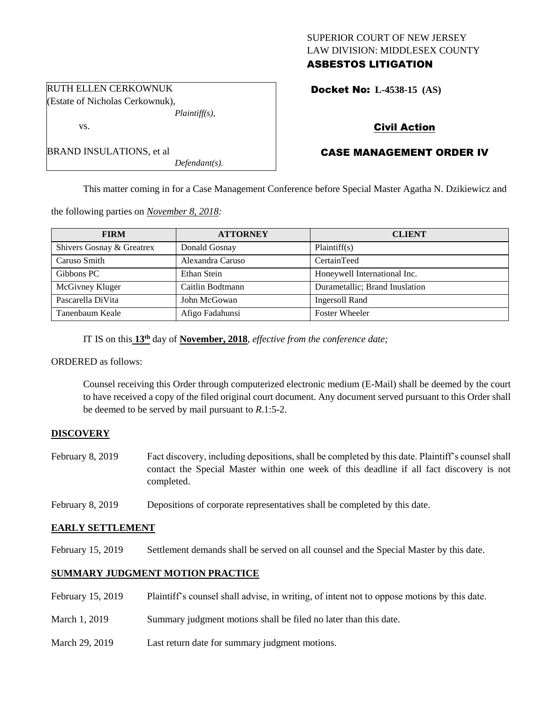# SUPERIOR COURT OF NEW JERSEY LAW DIVISION: MIDDLESEX COUNTY ASBESTOS LITIGATION

Docket No: **L-4538-15 (AS)** 

# Civil Action

# CASE MANAGEMENT ORDER IV

This matter coming in for a Case Management Conference before Special Master Agatha N. Dzikiewicz and

the following parties on *November 8, 2018:*

*Defendant(s).*

| <b>FIRM</b>               | <b>ATTORNEY</b>  | <b>CLIENT</b>                  |
|---------------------------|------------------|--------------------------------|
| Shivers Gosnay & Greatrex | Donald Gosnay    | Plaintiff(s)                   |
| Caruso Smith              | Alexandra Caruso | CertainTeed                    |
| Gibbons PC                | Ethan Stein      | Honeywell International Inc.   |
| McGivney Kluger           | Caitlin Bodtmann | Durametallic; Brand Inuslation |
| Pascarella DiVita         | John McGowan     | Ingersoll Rand                 |
| Tanenbaum Keale           | Afigo Fadahunsi  | <b>Foster Wheeler</b>          |

IT IS on this **13 th** day of **November, 2018**, *effective from the conference date;*

ORDERED as follows:

Counsel receiving this Order through computerized electronic medium (E-Mail) shall be deemed by the court to have received a copy of the filed original court document. Any document served pursuant to this Order shall be deemed to be served by mail pursuant to *R*.1:5-2.

# **DISCOVERY**

- February 8, 2019 Fact discovery, including depositions, shall be completed by this date. Plaintiff's counsel shall contact the Special Master within one week of this deadline if all fact discovery is not completed.
- February 8, 2019 Depositions of corporate representatives shall be completed by this date.

# **EARLY SETTLEMENT**

February 15, 2019 Settlement demands shall be served on all counsel and the Special Master by this date.

# **SUMMARY JUDGMENT MOTION PRACTICE**

| February 15, 2019 | Plaintiff's counsel shall advise, in writing, of intent not to oppose motions by this date. |
|-------------------|---------------------------------------------------------------------------------------------|
| March 1, 2019     | Summary judgment motions shall be filed no later than this date.                            |
| March 29, 2019    | Last return date for summary judgment motions.                                              |

RUTH ELLEN CERKOWNUK (Estate of Nicholas Cerkownuk), *Plaintiff(s),*

BRAND INSULATIONS, et al

vs.